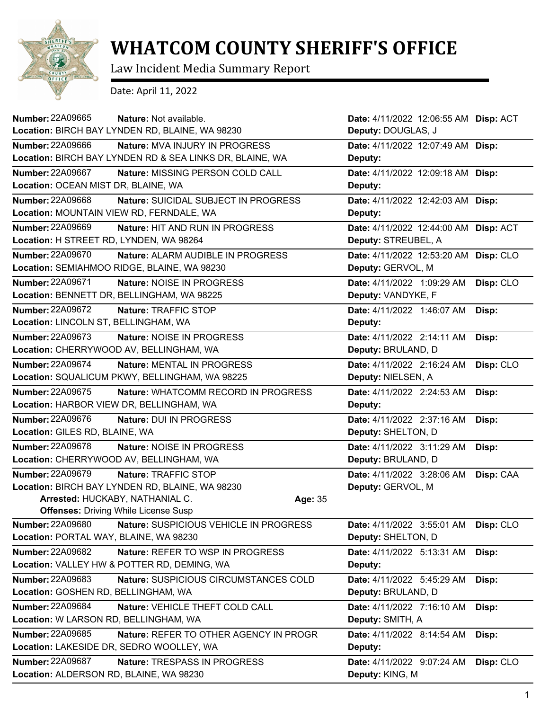

## **WHATCOM COUNTY SHERIFF'S OFFICE**

Law Incident Media Summary Report

Date: April 11, 2022

| Number: 22A09665                         | Nature: Not available.                                   |         | Date: 4/11/2022 12:06:55 AM Disp: ACT |           |
|------------------------------------------|----------------------------------------------------------|---------|---------------------------------------|-----------|
|                                          | Location: BIRCH BAY LYNDEN RD, BLAINE, WA 98230          |         | Deputy: DOUGLAS, J                    |           |
| <b>Number: 22A09666</b>                  | <b>Nature: MVA INJURY IN PROGRESS</b>                    |         | Date: 4/11/2022 12:07:49 AM Disp:     |           |
|                                          | Location: BIRCH BAY LYNDEN RD & SEA LINKS DR, BLAINE, WA |         | Deputy:                               |           |
| <b>Number: 22A09667</b>                  | Nature: MISSING PERSON COLD CALL                         |         | Date: 4/11/2022 12:09:18 AM Disp:     |           |
| Location: OCEAN MIST DR, BLAINE, WA      |                                                          |         | Deputy:                               |           |
| <b>Number: 22A09668</b>                  | Nature: SUICIDAL SUBJECT IN PROGRESS                     |         | Date: 4/11/2022 12:42:03 AM Disp:     |           |
| Location: MOUNTAIN VIEW RD, FERNDALE, WA |                                                          |         | Deputy:                               |           |
| <b>Number: 22A09669</b>                  | Nature: HIT AND RUN IN PROGRESS                          |         | Date: 4/11/2022 12:44:00 AM Disp: ACT |           |
| Location: H STREET RD, LYNDEN, WA 98264  |                                                          |         | Deputy: STREUBEL, A                   |           |
| Number: 22A09670                         | Nature: ALARM AUDIBLE IN PROGRESS                        |         | Date: 4/11/2022 12:53:20 AM           | Disp: CLO |
|                                          | Location: SEMIAHMOO RIDGE, BLAINE, WA 98230              |         | Deputy: GERVOL, M                     |           |
| Number: 22A09671                         | Nature: NOISE IN PROGRESS                                |         | Date: 4/11/2022 1:09:29 AM            | Disp: CLO |
|                                          | Location: BENNETT DR, BELLINGHAM, WA 98225               |         | Deputy: VANDYKE, F                    |           |
| Number: 22A09672                         | Nature: TRAFFIC STOP                                     |         | Date: 4/11/2022 1:46:07 AM            | Disp:     |
| Location: LINCOLN ST, BELLINGHAM, WA     |                                                          |         | Deputy:                               |           |
| Number: 22A09673                         | Nature: NOISE IN PROGRESS                                |         | Date: 4/11/2022 2:14:11 AM            | Disp:     |
|                                          | Location: CHERRYWOOD AV, BELLINGHAM, WA                  |         | Deputy: BRULAND, D                    |           |
| <b>Number: 22A09674</b>                  | Nature: MENTAL IN PROGRESS                               |         | Date: 4/11/2022 2:16:24 AM            | Disp: CLO |
|                                          | Location: SQUALICUM PKWY, BELLINGHAM, WA 98225           |         | Deputy: NIELSEN, A                    |           |
| Number: 22A09675                         | Nature: WHATCOMM RECORD IN PROGRESS                      |         | Date: 4/11/2022 2:24:53 AM            | Disp:     |
| Location: HARBOR VIEW DR, BELLINGHAM, WA |                                                          |         | Deputy:                               |           |
| <b>Number: 22A09676</b>                  | Nature: DUI IN PROGRESS                                  |         | Date: 4/11/2022 2:37:16 AM            | Disp:     |
| Location: GILES RD, BLAINE, WA           |                                                          |         | Deputy: SHELTON, D                    |           |
| Number: 22A09678                         | Nature: NOISE IN PROGRESS                                |         | Date: 4/11/2022 3:11:29 AM            | Disp:     |
|                                          | Location: CHERRYWOOD AV, BELLINGHAM, WA                  |         | Deputy: BRULAND, D                    |           |
| <b>Number: 22A09679</b>                  | Nature: TRAFFIC STOP                                     |         | Date: 4/11/2022 3:28:06 AM            | Disp: CAA |
|                                          | Location: BIRCH BAY LYNDEN RD, BLAINE, WA 98230          |         | Deputy: GERVOL, M                     |           |
|                                          | Arrested: HUCKABY, NATHANIAL C.                          | Age: 35 |                                       |           |
|                                          | <b>Offenses: Driving While License Susp</b>              |         |                                       |           |
| Number: 22A09680                         | Nature: SUSPICIOUS VEHICLE IN PROGRESS                   |         | Date: 4/11/2022 3:55:01 AM            | Disp: CLO |
| Location: PORTAL WAY, BLAINE, WA 98230   |                                                          |         | Deputy: SHELTON, D                    |           |
| <b>Number: 22A09682</b>                  | Nature: REFER TO WSP IN PROGRESS                         |         | Date: 4/11/2022 5:13:31 AM            | Disp:     |
|                                          | Location: VALLEY HW & POTTER RD, DEMING, WA              |         | Deputy:                               |           |
| <b>Number: 22A09683</b>                  | Nature: SUSPICIOUS CIRCUMSTANCES COLD                    |         | Date: 4/11/2022 5:45:29 AM            | Disp:     |
| Location: GOSHEN RD, BELLINGHAM, WA      |                                                          |         | Deputy: BRULAND, D                    |           |
| Number: 22A09684                         | Nature: VEHICLE THEFT COLD CALL                          |         | Date: 4/11/2022 7:16:10 AM            | Disp:     |
| Location: W LARSON RD, BELLINGHAM, WA    |                                                          |         | Deputy: SMITH, A                      |           |
| Number: 22A09685                         | Nature: REFER TO OTHER AGENCY IN PROGR                   |         | Date: 4/11/2022 8:14:54 AM            | Disp:     |
|                                          | Location: LAKESIDE DR, SEDRO WOOLLEY, WA                 |         | Deputy:                               |           |
| Number: 22A09687                         | Nature: TRESPASS IN PROGRESS                             |         | Date: 4/11/2022 9:07:24 AM            | Disp: CLO |
| Location: ALDERSON RD, BLAINE, WA 98230  |                                                          |         | Deputy: KING, M                       |           |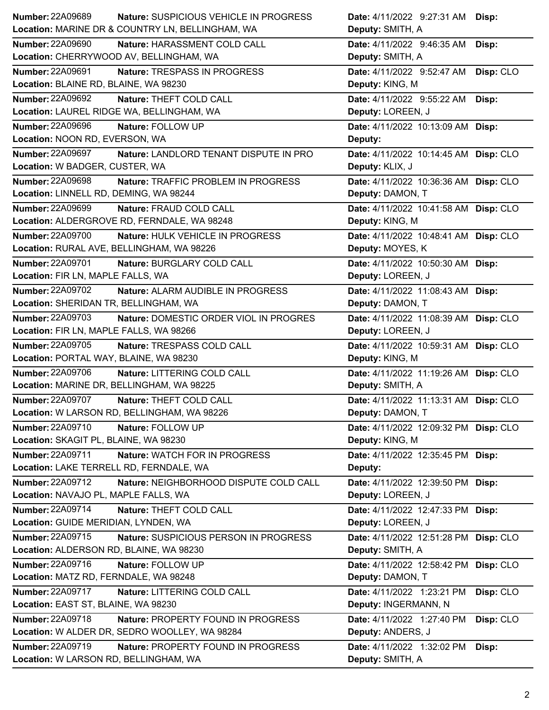| Number: 22A09689                          | Nature: SUSPICIOUS VEHICLE IN PROGRESS           | Date: 4/11/2022 9:27:31 AM Disp:        |
|-------------------------------------------|--------------------------------------------------|-----------------------------------------|
|                                           | Location: MARINE DR & COUNTRY LN, BELLINGHAM, WA | Deputy: SMITH, A                        |
| <b>Number: 22A09690</b>                   | Nature: HARASSMENT COLD CALL                     | Date: 4/11/2022 9:46:35 AM<br>Disp:     |
|                                           | Location: CHERRYWOOD AV, BELLINGHAM, WA          | Deputy: SMITH, A                        |
| <b>Number: 22A09691</b>                   | Nature: TRESPASS IN PROGRESS                     | Date: 4/11/2022 9:52:47 AM<br>Disp: CLO |
| Location: BLAINE RD, BLAINE, WA 98230     |                                                  | Deputy: KING, M                         |
| <b>Number: 22A09692</b>                   | Nature: THEFT COLD CALL                          | Date: 4/11/2022 9:55:22 AM<br>Disp:     |
|                                           | Location: LAUREL RIDGE WA, BELLINGHAM, WA        | Deputy: LOREEN, J                       |
| <b>Number: 22A09696</b>                   | Nature: FOLLOW UP                                | Date: 4/11/2022 10:13:09 AM Disp:       |
| Location: NOON RD, EVERSON, WA            |                                                  | Deputy:                                 |
| Number: 22A09697                          | Nature: LANDLORD TENANT DISPUTE IN PRO           | Date: 4/11/2022 10:14:45 AM Disp: CLO   |
| Location: W BADGER, CUSTER, WA            |                                                  | Deputy: KLIX, J                         |
| Number: 22A09698                          | Nature: TRAFFIC PROBLEM IN PROGRESS              | Date: 4/11/2022 10:36:36 AM Disp: CLO   |
| Location: LINNELL RD, DEMING, WA 98244    |                                                  | Deputy: DAMON, T                        |
| <b>Number: 22A09699</b>                   | Nature: FRAUD COLD CALL                          | Date: 4/11/2022 10:41:58 AM Disp: CLO   |
|                                           | Location: ALDERGROVE RD, FERNDALE, WA 98248      | Deputy: KING, M                         |
| <b>Number: 22A09700</b>                   | Nature: HULK VEHICLE IN PROGRESS                 | Date: 4/11/2022 10:48:41 AM Disp: CLO   |
| Location: RURAL AVE, BELLINGHAM, WA 98226 |                                                  | Deputy: MOYES, K                        |
| Number: 22A09701                          | Nature: BURGLARY COLD CALL                       | Date: 4/11/2022 10:50:30 AM Disp:       |
| Location: FIR LN, MAPLE FALLS, WA         |                                                  | Deputy: LOREEN, J                       |
| Number: 22A09702                          | Nature: ALARM AUDIBLE IN PROGRESS                | Date: 4/11/2022 11:08:43 AM Disp:       |
| Location: SHERIDAN TR, BELLINGHAM, WA     |                                                  | Deputy: DAMON, T                        |
| Number: 22A09703                          | Nature: DOMESTIC ORDER VIOL IN PROGRES           | Date: 4/11/2022 11:08:39 AM Disp: CLO   |
| Location: FIR LN, MAPLE FALLS, WA 98266   |                                                  | Deputy: LOREEN, J                       |
|                                           |                                                  |                                         |
| Number: 22A09705                          | Nature: TRESPASS COLD CALL                       | Date: 4/11/2022 10:59:31 AM Disp: CLO   |
| Location: PORTAL WAY, BLAINE, WA 98230    |                                                  | Deputy: KING, M                         |
| Number: 22A09706                          | Nature: LITTERING COLD CALL                      | Date: 4/11/2022 11:19:26 AM Disp: CLO   |
| Location: MARINE DR, BELLINGHAM, WA 98225 |                                                  | Deputy: SMITH, A                        |
| <b>Number: 22A09707</b>                   | Nature: THEFT COLD CALL                          | Date: 4/11/2022 11:13:31 AM Disp: CLO   |
|                                           | Location: W LARSON RD, BELLINGHAM, WA 98226      | Deputy: DAMON, T                        |
| <b>Number: 22A09710</b>                   | Nature: FOLLOW UP                                | Date: 4/11/2022 12:09:32 PM Disp: CLO   |
| Location: SKAGIT PL, BLAINE, WA 98230     |                                                  | Deputy: KING, M                         |
| Number: 22A09711                          | Nature: WATCH FOR IN PROGRESS                    | Date: 4/11/2022 12:35:45 PM Disp:       |
| Location: LAKE TERRELL RD, FERNDALE, WA   |                                                  | Deputy:                                 |
| Number: 22A09712                          | Nature: NEIGHBORHOOD DISPUTE COLD CALL           | Date: 4/11/2022 12:39:50 PM Disp:       |
| Location: NAVAJO PL, MAPLE FALLS, WA      |                                                  | Deputy: LOREEN, J                       |
| Number: 22A09714                          | Nature: THEFT COLD CALL                          | Date: 4/11/2022 12:47:33 PM Disp:       |
| Location: GUIDE MERIDIAN, LYNDEN, WA      |                                                  | Deputy: LOREEN, J                       |
| Number: 22A09715                          | Nature: SUSPICIOUS PERSON IN PROGRESS            | Date: 4/11/2022 12:51:28 PM Disp: CLO   |
| Location: ALDERSON RD, BLAINE, WA 98230   |                                                  | Deputy: SMITH, A                        |
| Number: 22A09716                          | Nature: FOLLOW UP                                | Date: 4/11/2022 12:58:42 PM Disp: CLO   |
| Location: MATZ RD, FERNDALE, WA 98248     |                                                  | Deputy: DAMON, T                        |
| Number: 22A09717                          | Nature: LITTERING COLD CALL                      | Date: 4/11/2022 1:23:21 PM<br>Disp: CLO |
| Location: EAST ST, BLAINE, WA 98230       |                                                  | Deputy: INGERMANN, N                    |
| <b>Number: 22A09718</b>                   | Nature: PROPERTY FOUND IN PROGRESS               | Date: 4/11/2022 1:27:40 PM<br>Disp: CLO |
|                                           | Location: W ALDER DR, SEDRO WOOLLEY, WA 98284    | Deputy: ANDERS, J                       |
| Number: 22A09719                          | Nature: PROPERTY FOUND IN PROGRESS               | Date: 4/11/2022 1:32:02 PM<br>Disp:     |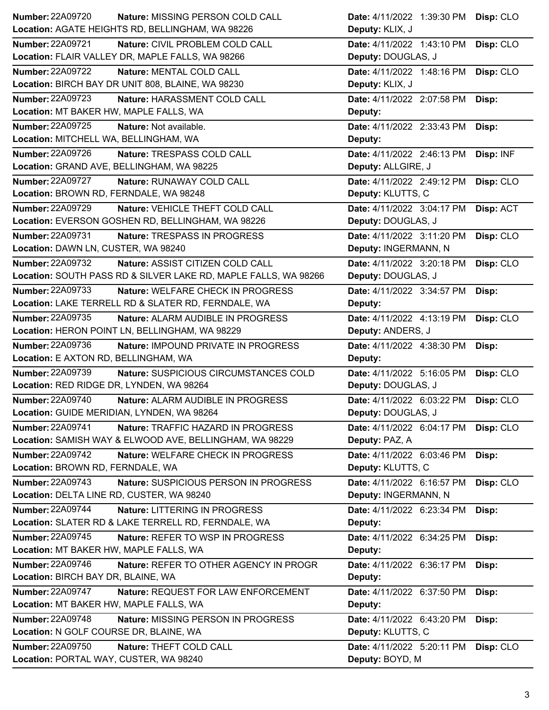| <b>Number: 22A09720</b>                    | Nature: MISSING PERSON COLD CALL                                | Date: 4/11/2022 1:39:30 PM | Disp: CLO |
|--------------------------------------------|-----------------------------------------------------------------|----------------------------|-----------|
|                                            | Location: AGATE HEIGHTS RD, BELLINGHAM, WA 98226                | Deputy: KLIX, J            |           |
| <b>Number: 22A09721</b>                    | Nature: CIVIL PROBLEM COLD CALL                                 | Date: 4/11/2022 1:43:10 PM | Disp: CLO |
|                                            | Location: FLAIR VALLEY DR, MAPLE FALLS, WA 98266                | Deputy: DOUGLAS, J         |           |
| Number: 22A09722                           | Nature: MENTAL COLD CALL                                        | Date: 4/11/2022 1:48:16 PM | Disp: CLO |
|                                            | Location: BIRCH BAY DR UNIT 808, BLAINE, WA 98230               | Deputy: KLIX, J            |           |
| <b>Number: 22A09723</b>                    | Nature: HARASSMENT COLD CALL                                    | Date: 4/11/2022 2:07:58 PM | Disp:     |
| Location: MT BAKER HW, MAPLE FALLS, WA     |                                                                 | Deputy:                    |           |
| Number: 22A09725                           | Nature: Not available.                                          | Date: 4/11/2022 2:33:43 PM | Disp:     |
| Location: MITCHELL WA, BELLINGHAM, WA      |                                                                 | Deputy:                    |           |
| Number: 22A09726                           | Nature: TRESPASS COLD CALL                                      | Date: 4/11/2022 2:46:13 PM | Disp: INF |
|                                            | Location: GRAND AVE, BELLINGHAM, WA 98225                       | Deputy: ALLGIRE, J         |           |
| <b>Number: 22A09727</b>                    | Nature: RUNAWAY COLD CALL                                       | Date: 4/11/2022 2:49:12 PM | Disp: CLO |
| Location: BROWN RD, FERNDALE, WA 98248     |                                                                 | Deputy: KLUTTS, C          |           |
| <b>Number: 22A09729</b>                    | Nature: VEHICLE THEFT COLD CALL                                 | Date: 4/11/2022 3:04:17 PM | Disp: ACT |
|                                            | Location: EVERSON GOSHEN RD, BELLINGHAM, WA 98226               | Deputy: DOUGLAS, J         |           |
| <b>Number: 22A09731</b>                    | Nature: TRESPASS IN PROGRESS                                    | Date: 4/11/2022 3:11:20 PM | Disp: CLO |
| Location: DAWN LN, CUSTER, WA 98240        |                                                                 | Deputy: INGERMANN, N       |           |
| Number: 22A09732                           | Nature: ASSIST CITIZEN COLD CALL                                | Date: 4/11/2022 3:20:18 PM | Disp: CLO |
|                                            | Location: SOUTH PASS RD & SILVER LAKE RD, MAPLE FALLS, WA 98266 | Deputy: DOUGLAS, J         |           |
| <b>Number: 22A09733</b>                    | Nature: WELFARE CHECK IN PROGRESS                               | Date: 4/11/2022 3:34:57 PM | Disp:     |
|                                            | Location: LAKE TERRELL RD & SLATER RD, FERNDALE, WA             | Deputy:                    |           |
| Number: 22A09735                           | <b>Nature: ALARM AUDIBLE IN PROGRESS</b>                        | Date: 4/11/2022 4:13:19 PM | Disp: CLO |
|                                            | Location: HERON POINT LN, BELLINGHAM, WA 98229                  | Deputy: ANDERS, J          |           |
|                                            |                                                                 |                            |           |
| <b>Number: 22A09736</b>                    | Nature: IMPOUND PRIVATE IN PROGRESS                             | Date: 4/11/2022 4:38:30 PM | Disp:     |
| Location: E AXTON RD, BELLINGHAM, WA       |                                                                 | Deputy:                    |           |
| Number: 22A09739                           | Nature: SUSPICIOUS CIRCUMSTANCES COLD                           | Date: 4/11/2022 5:16:05 PM | Disp: CLO |
| Location: RED RIDGE DR, LYNDEN, WA 98264   |                                                                 | Deputy: DOUGLAS, J         |           |
| <b>Number: 22A09740</b>                    | Nature: ALARM AUDIBLE IN PROGRESS                               | Date: 4/11/2022 6:03:22 PM | Disp: CLO |
| Location: GUIDE MERIDIAN, LYNDEN, WA 98264 |                                                                 | Deputy: DOUGLAS, J         |           |
| <b>Number: 22A09741</b>                    | Nature: TRAFFIC HAZARD IN PROGRESS                              | Date: 4/11/2022 6:04:17 PM | Disp: CLO |
|                                            | Location: SAMISH WAY & ELWOOD AVE, BELLINGHAM, WA 98229         | Deputy: PAZ, A             |           |
| Number: 22A09742                           | Nature: WELFARE CHECK IN PROGRESS                               | Date: 4/11/2022 6:03:46 PM | Disp:     |
| Location: BROWN RD, FERNDALE, WA           |                                                                 | Deputy: KLUTTS, C          |           |
| Number: 22A09743                           | Nature: SUSPICIOUS PERSON IN PROGRESS                           | Date: 4/11/2022 6:16:57 PM | Disp: CLO |
| Location: DELTA LINE RD, CUSTER, WA 98240  |                                                                 | Deputy: INGERMANN, N       |           |
| Number: 22A09744                           | Nature: LITTERING IN PROGRESS                                   | Date: 4/11/2022 6:23:34 PM | Disp:     |
|                                            | Location: SLATER RD & LAKE TERRELL RD, FERNDALE, WA             | Deputy:                    |           |
| Number: 22A09745                           | Nature: REFER TO WSP IN PROGRESS                                | Date: 4/11/2022 6:34:25 PM | Disp:     |
| Location: MT BAKER HW, MAPLE FALLS, WA     |                                                                 | Deputy:                    |           |
| Number: 22A09746                           | Nature: REFER TO OTHER AGENCY IN PROGR                          | Date: 4/11/2022 6:36:17 PM | Disp:     |
| Location: BIRCH BAY DR, BLAINE, WA         |                                                                 | Deputy:                    |           |
| <b>Number: 22A09747</b>                    | Nature: REQUEST FOR LAW ENFORCEMENT                             | Date: 4/11/2022 6:37:50 PM | Disp:     |
| Location: MT BAKER HW, MAPLE FALLS, WA     |                                                                 | Deputy:                    |           |
| <b>Number: 22A09748</b>                    | Nature: MISSING PERSON IN PROGRESS                              | Date: 4/11/2022 6:43:20 PM | Disp:     |
| Location: N GOLF COURSE DR, BLAINE, WA     |                                                                 | Deputy: KLUTTS, C          |           |
| <b>Number: 22A09750</b>                    | Nature: THEFT COLD CALL                                         | Date: 4/11/2022 5:20:11 PM | Disp: CLO |